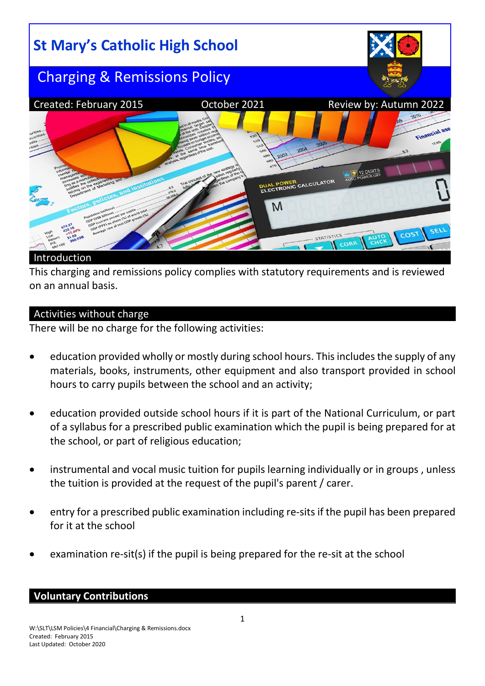# **St Mary's Catholic High School** Charging & Remissions Policy Created: February 2015 October 2021 Review by: Autumn 2022 12 DIGITS DUAL POWER<br>ELECTRONIC CALCULATOR  $\mathsf{M}$ CORR

## Introduction

This charging and remissions policy complies with statutory requirements and is reviewed on an annual basis.

## Activities without charge

There will be no charge for the following activities:

- education provided wholly or mostly during school hours. This includes the supply of any materials, books, instruments, other equipment and also transport provided in school hours to carry pupils between the school and an activity;
- education provided outside school hours if it is part of the National Curriculum, or part of a syllabus for a prescribed public examination which the pupil is being prepared for at the school, or part of religious education;
- instrumental and vocal music tuition for pupils learning individually or in groups , unless the tuition is provided at the request of the pupil's parent / carer.
- entry for a prescribed public examination including re-sits if the pupil has been prepared for it at the school
- examination re-sit(s) if the pupil is being prepared for the re-sit at the school

## **Voluntary Contributions**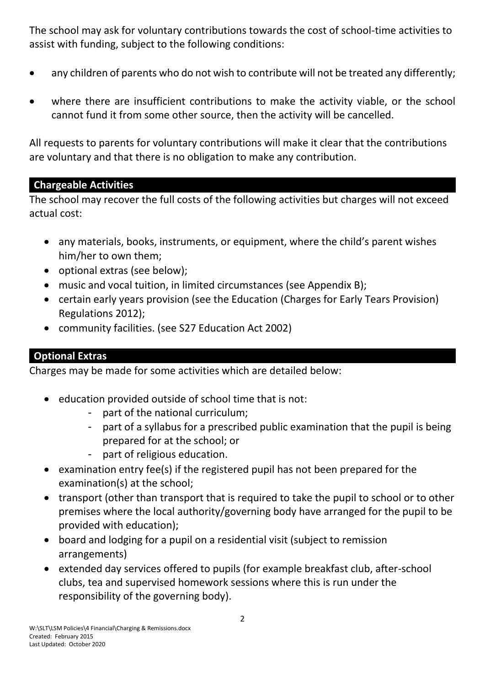The school may ask for voluntary contributions towards the cost of school-time activities to assist with funding, subject to the following conditions:

- any children of parents who do not wish to contribute will not be treated any differently;
- where there are insufficient contributions to make the activity viable, or the school cannot fund it from some other source, then the activity will be cancelled.

All requests to parents for voluntary contributions will make it clear that the contributions are voluntary and that there is no obligation to make any contribution.

## **Chargeable Activities**

The school may recover the full costs of the following activities but charges will not exceed actual cost:

- any materials, books, instruments, or equipment, where the child's parent wishes him/her to own them;
- optional extras (see below);
- music and vocal tuition, in limited circumstances (see Appendix B);
- certain early years provision (see the Education (Charges for Early Tears Provision) Regulations 2012);
- community facilities. (see S27 Education Act 2002)

# **Optional Extras**

Charges may be made for some activities which are detailed below:

- education provided outside of school time that is not:
	- part of the national curriculum;
	- part of a syllabus for a prescribed public examination that the pupil is being prepared for at the school; or
	- part of religious education.
- examination entry fee(s) if the registered pupil has not been prepared for the examination(s) at the school;
- transport (other than transport that is required to take the pupil to school or to other premises where the local authority/governing body have arranged for the pupil to be provided with education);
- board and lodging for a pupil on a residential visit (subject to remission arrangements)
- extended day services offered to pupils (for example breakfast club, after-school clubs, tea and supervised homework sessions where this is run under the responsibility of the governing body).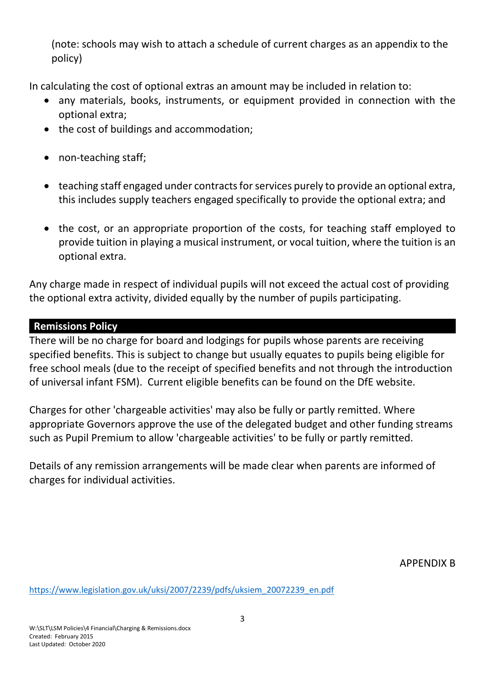(note: schools may wish to attach a schedule of current charges as an appendix to the policy)

In calculating the cost of optional extras an amount may be included in relation to:

- any materials, books, instruments, or equipment provided in connection with the optional extra;
- the cost of buildings and accommodation;
- non-teaching staff;
- teaching staff engaged under contracts for services purely to provide an optional extra, this includes supply teachers engaged specifically to provide the optional extra; and
- the cost, or an appropriate proportion of the costs, for teaching staff employed to provide tuition in playing a musical instrument, or vocal tuition, where the tuition is an optional extra.

Any charge made in respect of individual pupils will not exceed the actual cost of providing the optional extra activity, divided equally by the number of pupils participating.

## **Remissions Policy**

There will be no charge for board and lodgings for pupils whose parents are receiving specified benefits. This is subject to change but usually equates to pupils being eligible for free school meals (due to the receipt of specified benefits and not through the introduction of universal infant FSM). Current eligible benefits can be found on the DfE website.

Charges for other 'chargeable activities' may also be fully or partly remitted. Where appropriate Governors approve the use of the delegated budget and other funding streams such as Pupil Premium to allow 'chargeable activities' to be fully or partly remitted.

Details of any remission arrangements will be made clear when parents are informed of charges for individual activities.

APPENDIX B

[https://www.legislation.gov.uk/uksi/2007/2239/pdfs/uksiem\\_20072239\\_en.pdf](https://www.legislation.gov.uk/uksi/2007/2239/pdfs/uksiem_20072239_en.pdf)